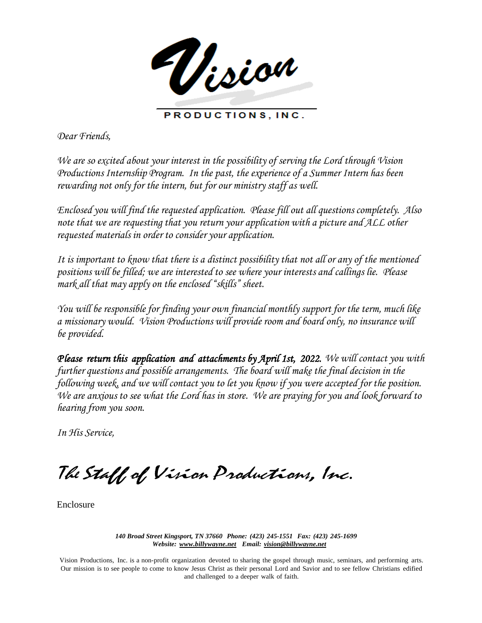Vision

PRODUCTIONS, INC.

*Dear Friends,*

*We are so excited about your interest in the possibility of serving the Lord through Vision ProductionsInternship Program. In the past, the experience of a Summer Intern has been rewarding not only for the intern, but for our ministry staff as well.*

*Enclosed you will find the requested application. Please fill out all questions completely. Also note that we are requesting that you return your application with a picture and ALL other requested materials in order to consider your application.*

It is important to know that there is a distinct possibility that not all or any of the mentioned *positions will be filled; we are interested to see where your interests and callings lie. Please mark all that may apply on the enclosed "skills" sheet.*

*You will be responsible for finding your own financial monthly support for the term, much like a missionary would. Vision Productions will provide room and board only, no insurance will be provided.*

*Please return this application and attachments by April 1st, 2022. We will contact you with further questions and possible arrangements. The board will make the final decision in the following week, and we will contact you to let you know if you were accepted for the position.* We are anxious to see what the Lord has in store. We are praying for you and look forward to *hearing from you soon.*

*In His Service,*

The Staff of Vision Productions, Inc.

Enclosure

*140 Broad Street Kingsport, TN 37660 Phone: (423) 245-1551 Fax: (423) 245-1699 Website: [www.billywayne.net E](http://www.billywayne.net/)mail: [vision@billywayne.net](mailto:vision@billywayne.net)*

Vision Productions, Inc. is a non-profit organization devoted to sharing the gospel through music, seminars, and performing arts. Our mission is to see people to come to know Jesus Christ as their personal Lord and Savior and to see fellow Christians edified and challenged to a deeper walk of faith.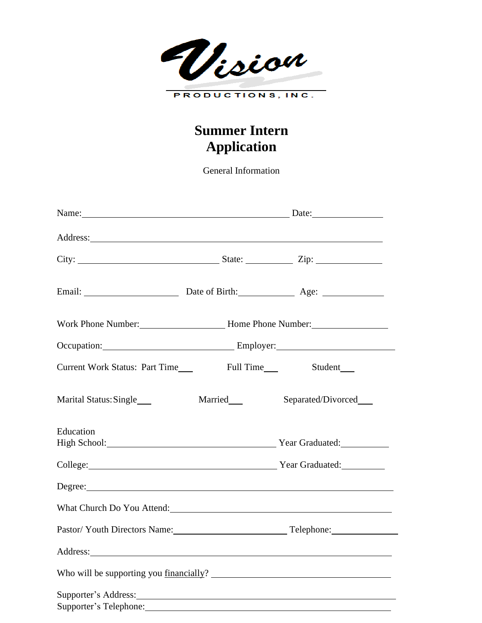Vision PRODUCTIONS, INC.

# **Summer Intern Application**

General Information

|                                                                                                                                                                                                                                         | Name: Date: Date:                                        |                       |  |
|-----------------------------------------------------------------------------------------------------------------------------------------------------------------------------------------------------------------------------------------|----------------------------------------------------------|-----------------------|--|
|                                                                                                                                                                                                                                         |                                                          |                       |  |
|                                                                                                                                                                                                                                         |                                                          |                       |  |
|                                                                                                                                                                                                                                         |                                                          |                       |  |
|                                                                                                                                                                                                                                         | Work Phone Number: Mone Phone Number: Mone Phone Number: |                       |  |
|                                                                                                                                                                                                                                         | Occupation: Employer: Employer:                          |                       |  |
| Current Work Status: Part Time                                                                                                                                                                                                          |                                                          | Student____           |  |
| Marital Status: Single____                                                                                                                                                                                                              | Married                                                  | Separated/Divorced___ |  |
| Education<br>High School: Year Graduated: Year Graduated:                                                                                                                                                                               |                                                          |                       |  |
| College: Year Graduated:                                                                                                                                                                                                                |                                                          |                       |  |
| Degree: <u>Degree:</u> <b>Degree: Contract Contract Contract Contract Contract Contract Contract Contract Contract Contract Contract Contract Contract Contract Contract Contract Contract Contract Contract Contract Contract Cont</b> |                                                          |                       |  |
| What Church Do You Attend:                                                                                                                                                                                                              |                                                          |                       |  |
| Pastor/Youth Directors Name: Telephone: Telephone:                                                                                                                                                                                      |                                                          |                       |  |
|                                                                                                                                                                                                                                         |                                                          |                       |  |
|                                                                                                                                                                                                                                         |                                                          |                       |  |
| Supporter's Telephone:                                                                                                                                                                                                                  |                                                          |                       |  |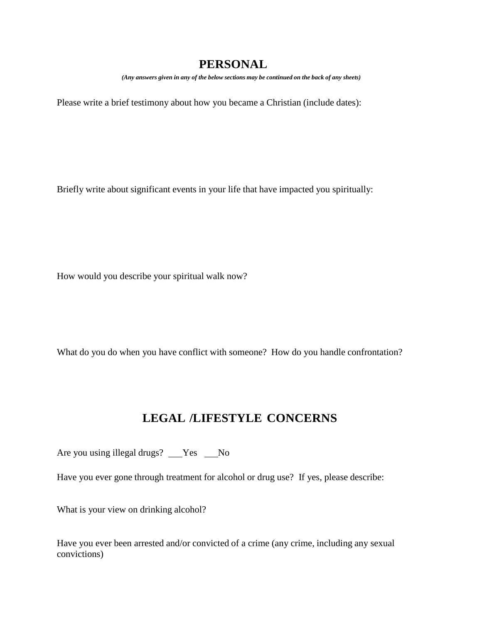# **PERSONAL**

*(Any answers given in any of the below sections may be continued on the back of any sheets)*

Please write a brief testimony about how you became a Christian (include dates):

Briefly write about significant events in your life that have impacted you spiritually:

How would you describe your spiritual walk now?

What do you do when you have conflict with someone? How do you handle confrontation?

# **LEGAL /LIFESTYLE CONCERNS**

Are you using illegal drugs? \_\_Yes \_\_No

Have you ever gone through treatment for alcohol or drug use? If yes, please describe:

What is your view on drinking alcohol?

Have you ever been arrested and/or convicted of a crime (any crime, including any sexual convictions)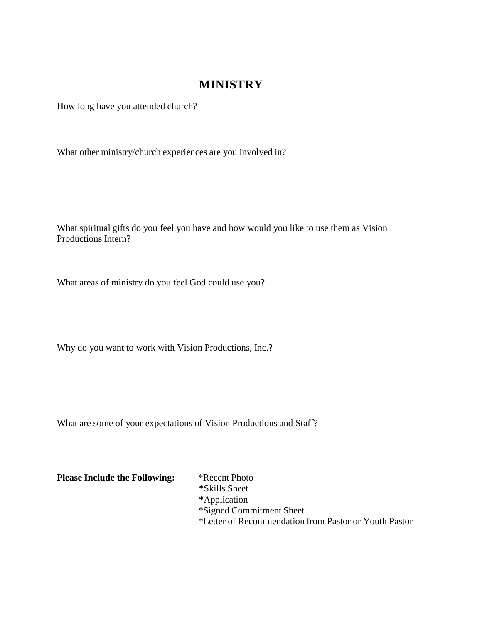### **MINISTRY**

How long have you attended church?

What other ministry/church experiences are you involved in?

What spiritual gifts do you feel you have and how would you like to use them as Vision Productions Intern?

What areas of ministry do you feel God could use you?

Why do you want to work with Vision Productions, Inc.?

What are some of your expectations of Vision Productions and Staff?

**Please Include the Following:** \*Recent Photo \*Skills Sheet \*Application \*Signed Commitment Sheet \*Letter of Recommendation from Pastor or Youth Pastor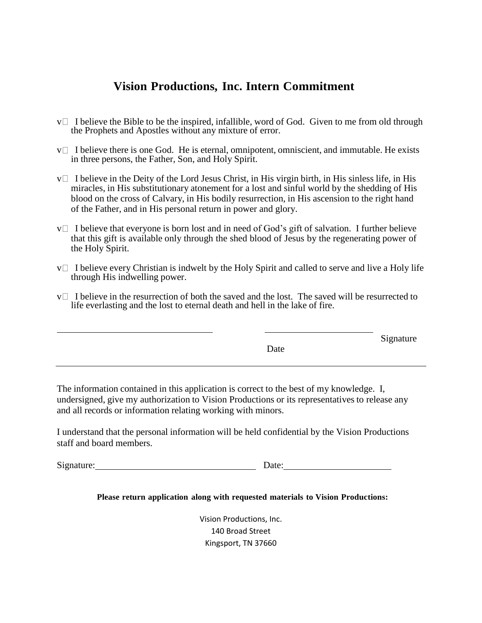### **Vision Productions, Inc. Intern Commitment**

- $v \Box$  I believe the Bible to be the inspired, infallible, word of God. Given to me from old through the Prophets and Apostles without any mixture of error.
- $v \Box$  I believe there is one God. He is eternal, omnipotent, omniscient, and immutable. He exists in three persons, the Father, Son, and Holy Spirit.
- $v \Box$  I believe in the Deity of the Lord Jesus Christ, in His virgin birth, in His sinless life, in His miracles, in His substitutionary atonement for a lost and sinful world by the shedding of His blood on the cross of Calvary, in His bodily resurrection, in His ascension to the right hand of the Father, and in His personal return in power and glory.
- $v \Box$  I believe that everyone is born lost and in need of God's gift of salvation. I further believe that this gift is available only through the shed blood of Jesus by the regenerating power of the Holy Spirit.
- $v \Box$  I believe every Christian is indwelt by the Holy Spirit and called to serve and live a Holy life through His indwelling power.
- $v \Box$  I believe in the resurrection of both the saved and the lost. The saved will be resurrected to life everlasting and the lost to eternal death and hell in the lake of fire.

|      | Signature |
|------|-----------|
| Date |           |

The information contained in this application is correct to the best of my knowledge. I, undersigned, give my authorization to Vision Productions or its representatives to release any and all records or information relating working with minors.

I understand that the personal information will be held confidential by the Vision Productions staff and board members.

Signature: Date:

**Please return application along with requested materials to Vision Productions:**

Vision Productions, Inc. 140 Broad Street Kingsport, TN 37660